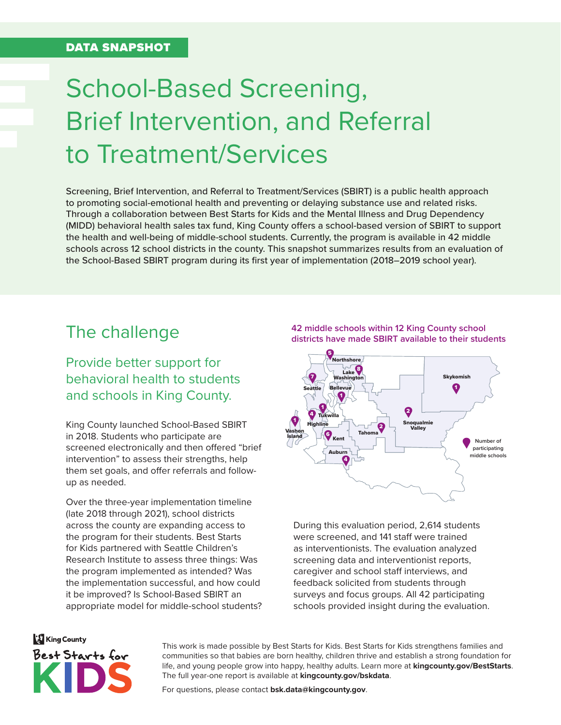#### DATA SNAPSHOT

## School-Based Screening, Brief Intervention, and Referral to Treatment/Services

Screening, Brief Intervention, and Referral to Treatment/Services (SBIRT) is a public health approach to promoting social-emotional health and preventing or delaying substance use and related risks. Through a collaboration between Best Starts for Kids and the Mental Illness and Drug Dependency (MIDD) behavioral health sales tax fund, King County offers a school-based version of SBIRT to support the health and well-being of middle-school students. Currently, the program is available in 42 middle schools across 12 school districts in the county. This snapshot summarizes results from an evaluation of the School-Based SBIRT program during its first year of implementation (2018–2019 school year).

### The challenge

Provide better support for behavioral health to students and schools in King County.

King County launched School-Based SBIRT in 2018. Students who participate are screened electronically and then offered "brief intervention" to assess their strengths, help them set goals, and offer referrals and followup as needed.

Over the three-year implementation timeline (late 2018 through 2021), school districts across the county are expanding access to the program for their students. Best Starts for Kids partnered with Seattle Children's Research Institute to assess three things: Was the program implemented as intended? Was the implementation successful, and how could it be improved? Is School-Based SBIRT an appropriate model for middle-school students?





During this evaluation period, 2,614 students were screened, and 141 staff were trained as interventionists. The evaluation analyzed screening data and interventionist reports, caregiver and school staff interviews, and feedback solicited from students through surveys and focus groups. All 42 participating schools provided insight during the evaluation.

# **King County** Best Starts for

This work is made possible by Best Starts for Kids. Best Starts for Kids strengthens families and communities so that babies are born healthy, children thrive and establish a strong foundation for life, and young people grow into happy, healthy adults. Learn more at **[kingcounty.gov/BestStarts](https://kingcounty.gov/depts/community-human-services/initiatives/best-starts-for-kids.aspx)**. The full year-one report is available at **[kingcounty.gov/bskdata](https://kingcounty.gov/bskdata)**.

For questions, please contact **[bsk.data@kingcounty.gov](mailto: bsk.data@kingcounty.gov)**.